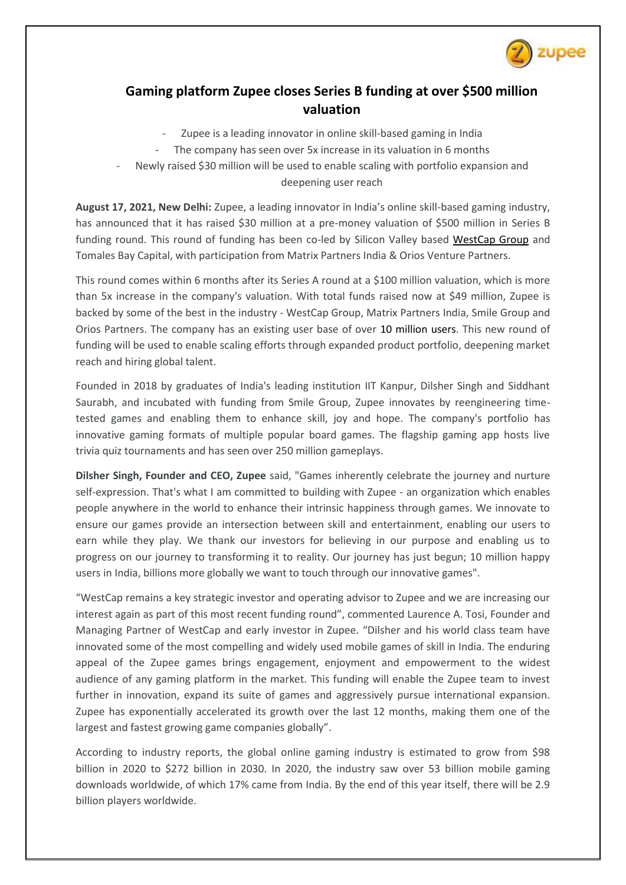

## **Gaming platform Zupee closes Series B funding at over \$500 million valuation**

- Zupee is a leading innovator in online skill-based gaming in India
- The company has seen over 5x increase in its valuation in 6 months
- Newly raised \$30 million will be used to enable scaling with portfolio expansion and deepening user reach

**August 17, 2021, New Delhi:** Zupee, a leading innovator in India's online skill-based gaming industry, has announced that it has raised \$30 million at a pre-money valuation of \$500 million in Series B funding round. This round of funding has been co-led by Silicon Valley based [WestCap Group](https://www.westcap.com/) and Tomales Bay Capital, with participation from Matrix Partners India & Orios Venture Partners.

This round comes within 6 months after its Series A round at a \$100 million valuation, which is more than 5x increase in the company's valuation. With total funds raised now at \$49 million, Zupee is backed by some of the best in the industry - WestCap Group, Matrix Partners India, Smile Group and Orios Partners. The company has an existing user base of over 10 million users. This new round of funding will be used to enable scaling efforts through expanded product portfolio, deepening market reach and hiring global talent.

Founded in 2018 by graduates of India's leading institution IIT Kanpur, Dilsher Singh and Siddhant Saurabh, and incubated with funding from Smile Group, Zupee innovates by reengineering timetested games and enabling them to enhance skill, joy and hope. The company's portfolio has innovative gaming formats of multiple popular board games. The flagship gaming app hosts live trivia quiz tournaments and has seen over 250 million gameplays.

**Dilsher Singh, Founder and CEO, Zupee** said, "Games inherently celebrate the journey and nurture self-expression. That's what I am committed to building with Zupee - an organization which enables people anywhere in the world to enhance their intrinsic happiness through games. We innovate to ensure our games provide an intersection between skill and entertainment, enabling our users to earn while they play. We thank our investors for believing in our purpose and enabling us to progress on our journey to transforming it to reality. Our journey has just begun; 10 million happy users in India, billions more globally we want to touch through our innovative games".

"WestCap remains a key strategic investor and operating advisor to Zupee and we are increasing our interest again as part of this most recent funding round", commented Laurence A. Tosi, Founder and Managing Partner of WestCap and early investor in Zupee. "Dilsher and his world class team have innovated some of the most compelling and widely used mobile games of skill in India. The enduring appeal of the Zupee games brings engagement, enjoyment and empowerment to the widest audience of any gaming platform in the market. This funding will enable the Zupee team to invest further in innovation, expand its suite of games and aggressively pursue international expansion. Zupee has exponentially accelerated its growth over the last 12 months, making them one of the largest and fastest growing game companies globally".

According to industry reports, the global online gaming industry is estimated to grow from \$98 billion in 2020 to \$272 billion in 2030. In 2020, the industry saw over 53 billion mobile gaming downloads worldwide, of which 17% came from India. By the end of this year itself, there will be 2.9 billion players worldwide.